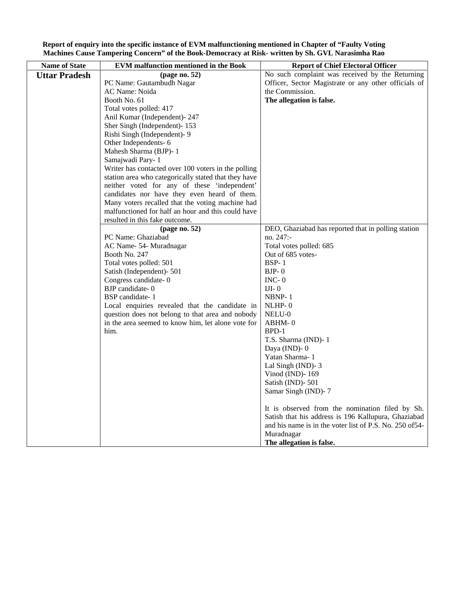| <b>Name of State</b> | <b>EVM</b> malfunction mentioned in the Book         | <b>Report of Chief Electoral Officer</b>                 |
|----------------------|------------------------------------------------------|----------------------------------------------------------|
| <b>Uttar Pradesh</b> | page no. 52 $)$                                      | No such complaint was received by the Returning          |
|                      | PC Name: Gautambudh Nagar                            | Officer, Sector Magistrate or any other officials of     |
|                      | AC Name: Noida                                       | the Commission.                                          |
|                      | Booth No. 61                                         | The allegation is false.                                 |
|                      | Total votes polled: 417                              |                                                          |
|                      | Anil Kumar (Independent)- 247                        |                                                          |
|                      | Sher Singh (Independent)-153                         |                                                          |
|                      | Rishi Singh (Independent)- 9                         |                                                          |
|                      | Other Independents-6                                 |                                                          |
|                      | Mahesh Sharma (BJP)-1                                |                                                          |
|                      | Samajwadi Pary-1                                     |                                                          |
|                      | Writer has contacted over 100 voters in the polling  |                                                          |
|                      | station area who categorically stated that they have |                                                          |
|                      | neither voted for any of these 'independent'         |                                                          |
|                      | candidates nor have they even heard of them.         |                                                          |
|                      | Many voters recalled that the voting machine had     |                                                          |
|                      | malfunctioned for half an hour and this could have   |                                                          |
|                      | resulted in this fake outcome.                       |                                                          |
|                      | page no. 52)                                         | DEO, Ghaziabad has reported that in polling station      |
|                      | PC Name: Ghaziabad                                   | no. 247:-                                                |
|                      | AC Name- 54- Muradnagar                              | Total votes polled: 685                                  |
|                      | Booth No. 247                                        | Out of 685 votes-                                        |
|                      | Total votes polled: 501                              | <b>BSP-1</b>                                             |
|                      | Satish (Independent)-501                             | $BJP-0$                                                  |
|                      | Congress candidate-0                                 | $INC-0$                                                  |
|                      | BJP candidate-0                                      | IJI $-0$                                                 |
|                      | BSP candidate-1                                      | NBNP-1                                                   |
|                      | Local enquiries revealed that the candidate in       | $NLHP-0$                                                 |
|                      | question does not belong to that area and nobody     | NELU-0                                                   |
|                      | in the area seemed to know him, let alone vote for   | ABHM-0                                                   |
|                      | him.                                                 | BPD-1                                                    |
|                      |                                                      | T.S. Sharma (IND)-1                                      |
|                      |                                                      | Daya (IND)-0                                             |
|                      |                                                      | Yatan Sharma-1                                           |
|                      |                                                      | Lal Singh (IND)-3                                        |
|                      |                                                      | Vinod (IND)-169                                          |
|                      |                                                      | Satish (IND)-501                                         |
|                      |                                                      | Samar Singh (IND)-7                                      |
|                      |                                                      | It is observed from the nomination filed by Sh.          |
|                      |                                                      | Satish that his address is 196 Kallupura, Ghaziabad      |
|                      |                                                      | and his name is in the voter list of P.S. No. 250 of 54- |
|                      |                                                      | Muradnagar                                               |
|                      |                                                      | The allegation is false.                                 |

**Report of enquiry into the specific instance of EVM malfunctioning mentioned in Chapter of "Faulty Voting Machines Cause Tampering Concern" of the Book-Democracy at Risk- written by Sh. GVL Narasimha Rao**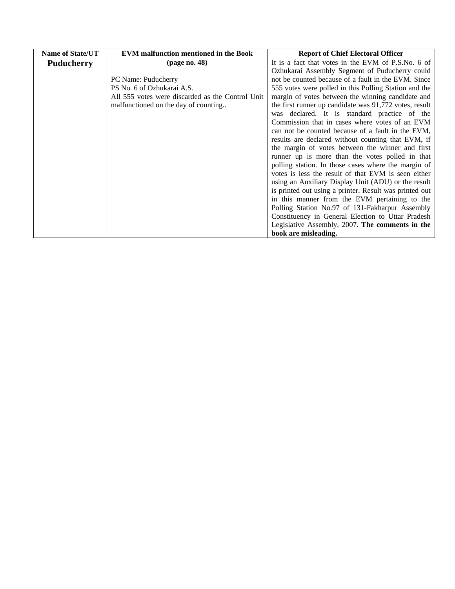| <b>Name of State/UT</b> | <b>EVM</b> malfunction mentioned in the Book     | <b>Report of Chief Electoral Officer</b>               |
|-------------------------|--------------------------------------------------|--------------------------------------------------------|
| <b>Puducherry</b>       | (page no. 48)                                    | It is a fact that votes in the EVM of P.S.No. 6 of     |
|                         |                                                  | Ozhukarai Assembly Segment of Puducherry could         |
|                         | PC Name: Puducherry                              | not be counted because of a fault in the EVM. Since    |
|                         | PS No. 6 of Ozhukarai A.S.                       | 555 votes were polled in this Polling Station and the  |
|                         | All 555 votes were discarded as the Control Unit | margin of votes between the winning candidate and      |
|                         | malfunctioned on the day of counting             | the first runner up candidate was 91,772 votes, result |
|                         |                                                  | was declared. It is standard practice of the           |
|                         |                                                  | Commission that in cases where votes of an EVM         |
|                         |                                                  | can not be counted because of a fault in the EVM,      |
|                         |                                                  | results are declared without counting that EVM, if     |
|                         |                                                  | the margin of votes between the winner and first       |
|                         |                                                  | runner up is more than the votes polled in that        |
|                         |                                                  | polling station. In those cases where the margin of    |
|                         |                                                  | votes is less the result of that EVM is seen either    |
|                         |                                                  | using an Auxiliary Display Unit (ADU) or the result    |
|                         |                                                  | is printed out using a printer. Result was printed out |
|                         |                                                  | in this manner from the EVM pertaining to the          |
|                         |                                                  | Polling Station No.97 of 131-Fakharpur Assembly        |
|                         |                                                  | Constituency in General Election to Uttar Pradesh      |
|                         |                                                  | Legislative Assembly, 2007. The comments in the        |
|                         |                                                  | book are misleading.                                   |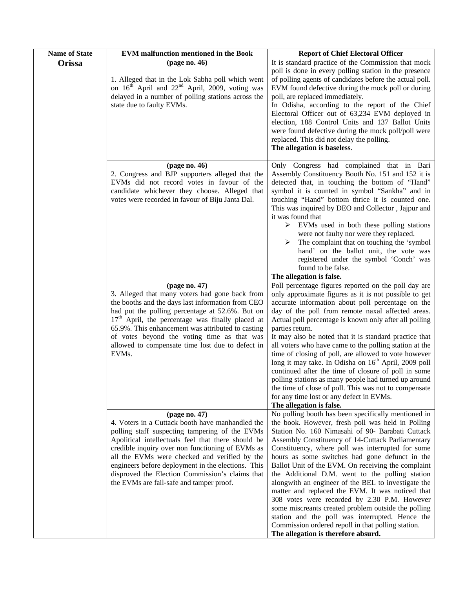| <b>Name of State</b> | <b>EVM</b> malfunction mentioned in the Book                                                                                                                                                                                                                                                                                                                                                                                       | <b>Report of Chief Electoral Officer</b>                                                                                                                                                                                                                                                                                                                                                                                                                                                                                                                                                                                                                                                                                                                                                             |
|----------------------|------------------------------------------------------------------------------------------------------------------------------------------------------------------------------------------------------------------------------------------------------------------------------------------------------------------------------------------------------------------------------------------------------------------------------------|------------------------------------------------------------------------------------------------------------------------------------------------------------------------------------------------------------------------------------------------------------------------------------------------------------------------------------------------------------------------------------------------------------------------------------------------------------------------------------------------------------------------------------------------------------------------------------------------------------------------------------------------------------------------------------------------------------------------------------------------------------------------------------------------------|
| Orissa               | (page no. 46)<br>1. Alleged that in the Lok Sabha poll which went<br>on 16 <sup>th</sup> April and 22 <sup>nd</sup> April, 2009, voting was<br>delayed in a number of polling stations across the<br>state due to faulty EVMs.                                                                                                                                                                                                     | It is standard practice of the Commission that mock<br>poll is done in every polling station in the presence<br>of polling agents of candidates before the actual poll.<br>EVM found defective during the mock poll or during<br>poll, are replaced immediately.<br>In Odisha, according to the report of the Chief<br>Electoral Officer out of 63,234 EVM deployed in<br>election, 188 Control Units and 137 Ballot Units<br>were found defective during the mock poll/poll were<br>replaced. This did not delay the polling.<br>The allegation is baseless.                                                                                                                                                                                                                                        |
|                      | (page no. 46)<br>2. Congress and BJP supporters alleged that the<br>EVMs did not record votes in favour of the<br>candidate whichever they choose. Alleged that<br>votes were recorded in favour of Biju Janta Dal.                                                                                                                                                                                                                | Only Congress had complained that in Bari<br>Assembly Constituency Booth No. 151 and 152 it is<br>detected that, in touching the bottom of "Hand"<br>symbol it is counted in symbol "Sankha" and in<br>touching "Hand" bottom thrice it is counted one.<br>This was inquired by DEO and Collector, Jajpur and<br>it was found that<br>$\triangleright$ EVMs used in both these polling stations<br>were not faulty nor were they replaced.<br>The complaint that on touching the 'symbol<br>➤<br>hand' on the ballot unit, the vote was<br>registered under the symbol 'Conch' was<br>found to be false.<br>The allegation is false.                                                                                                                                                                 |
|                      | (page no. 47)<br>3. Alleged that many voters had gone back from<br>the booths and the days last information from CEO<br>had put the polling percentage at 52.6%. But on<br>17 <sup>th</sup> April, the percentage was finally placed at<br>65.9%. This enhancement was attributed to casting<br>of votes beyond the voting time as that was<br>allowed to compensate time lost due to defect in<br>EVMs.                           | Poll percentage figures reported on the poll day are<br>only approximate figures as it is not possible to get<br>accurate information about poll percentage on the<br>day of the poll from remote naxal affected areas.<br>Actual poll percentage is known only after all polling<br>parties return.<br>It may also be noted that it is standard practice that<br>all voters who have came to the polling station at the<br>time of closing of poll, are allowed to vote however<br>long it may take. In Odisha on 16 <sup>th</sup> April, 2009 poll<br>continued after the time of closure of poll in some<br>polling stations as many people had turned up around<br>the time of close of poll. This was not to compensate<br>for any time lost or any defect in EVMs.<br>The allegation is false. |
|                      | page no. 47)<br>4. Voters in a Cuttack booth have manhandled the<br>polling staff suspecting tampering of the EVMs<br>Apolitical intellectuals feel that there should be<br>credible inquiry over non functioning of EVMs as<br>all the EVMs were checked and verified by the<br>engineers before deployment in the elections. This<br>disproved the Election Commission's claims that<br>the EVMs are fail-safe and tamper proof. | No polling booth has been specifically mentioned in<br>the book. However, fresh poll was held in Polling<br>Station No. 160 Nimasahi of 90- Barabati Cuttack<br>Assembly Constituency of 14-Cuttack Parliamentary<br>Constituency, where poll was interrupted for some<br>hours as some switches had gone defunct in the<br>Ballot Unit of the EVM. On receiving the complaint<br>the Additional D.M. went to the polling station<br>alongwith an engineer of the BEL to investigate the<br>matter and replaced the EVM. It was noticed that<br>308 votes were recorded by 2.30 P.M. However<br>some miscreants created problem outside the polling<br>station and the poll was interrupted. Hence the<br>Commission ordered repoll in that polling station.<br>The allegation is therefore absurd.  |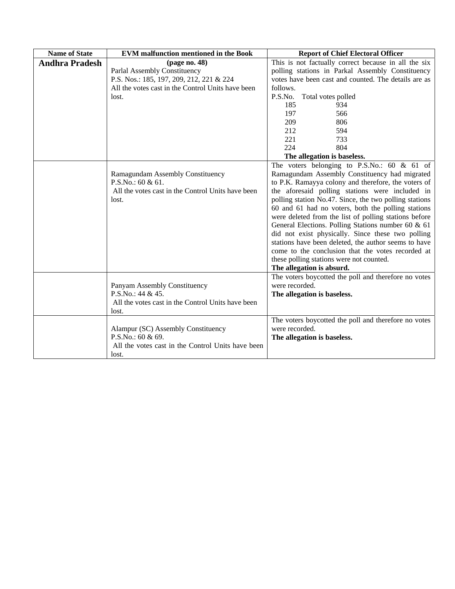| <b>Name of State</b>  | <b>EVM</b> malfunction mentioned in the Book      | <b>Report of Chief Electoral Officer</b>               |
|-----------------------|---------------------------------------------------|--------------------------------------------------------|
| <b>Andhra Pradesh</b> | page no. 48 $)$                                   | This is not factually correct because in all the six   |
|                       | Parlal Assembly Constituency                      | polling stations in Parkal Assembly Constituency       |
|                       | P.S. Nos.: 185, 197, 209, 212, 221 & 224          | votes have been cast and counted. The details are as   |
|                       | All the votes cast in the Control Units have been | follows.                                               |
|                       | lost.                                             | P.S.No.<br>Total votes polled                          |
|                       |                                                   | 185<br>934                                             |
|                       |                                                   | 197<br>566                                             |
|                       |                                                   | 209<br>806                                             |
|                       |                                                   | 212<br>594                                             |
|                       |                                                   | 221<br>733                                             |
|                       |                                                   | 224<br>804                                             |
|                       |                                                   | The allegation is baseless.                            |
|                       |                                                   | The voters belonging to P.S.No.: $60 \& 61$ of         |
|                       | Ramagundam Assembly Constituency                  | Ramagundam Assembly Constituency had migrated          |
|                       | P.S.No.: 60 & 61.                                 | to P.K. Ramayya colony and therefore, the voters of    |
|                       | All the votes cast in the Control Units have been | the aforesaid polling stations were included in        |
|                       | lost.                                             | polling station No.47. Since, the two polling stations |
|                       |                                                   | 60 and 61 had no voters, both the polling stations     |
|                       |                                                   | were deleted from the list of polling stations before  |
|                       |                                                   | General Elections. Polling Stations number 60 & 61     |
|                       |                                                   | did not exist physically. Since these two polling      |
|                       |                                                   | stations have been deleted, the author seems to have   |
|                       |                                                   | come to the conclusion that the votes recorded at      |
|                       |                                                   | these polling stations were not counted.               |
|                       |                                                   | The allegation is absurd.                              |
|                       |                                                   | The voters boycotted the poll and therefore no votes   |
|                       | Panyam Assembly Constituency                      | were recorded.                                         |
|                       | P.S.No.: 44 & 45.                                 | The allegation is baseless.                            |
|                       | All the votes cast in the Control Units have been |                                                        |
|                       | lost.                                             |                                                        |
|                       |                                                   | The voters boycotted the poll and therefore no votes   |
|                       | Alampur (SC) Assembly Constituency                | were recorded.                                         |
|                       | P.S.No.: 60 & 69.                                 | The allegation is baseless.                            |
|                       | All the votes cast in the Control Units have been |                                                        |
|                       | lost.                                             |                                                        |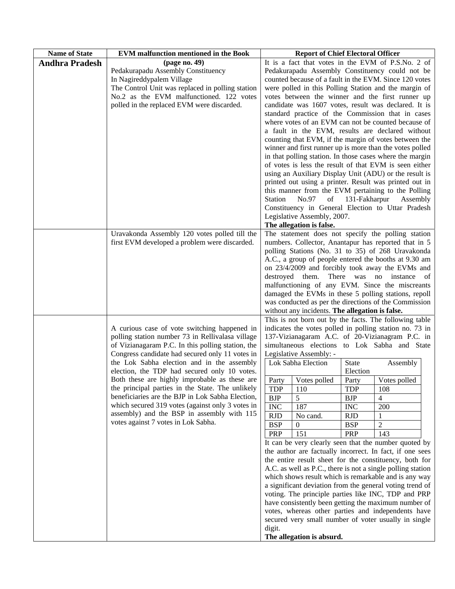| <b>Name of State</b>  | <b>EVM</b> malfunction mentioned in the Book                                                          | <b>Report of Chief Electoral Officer</b>                                                                 |
|-----------------------|-------------------------------------------------------------------------------------------------------|----------------------------------------------------------------------------------------------------------|
| <b>Andhra Pradesh</b> | (page no. 49)                                                                                         | It is a fact that votes in the EVM of P.S.No. 2 of                                                       |
|                       | Pedakurapadu Assembly Constituency                                                                    | Pedakurapadu Assembly Constituency could not be                                                          |
|                       | In Nagireddypalem Village                                                                             | counted because of a fault in the EVM. Since 120 votes                                                   |
|                       | The Control Unit was replaced in polling station                                                      | were polled in this Polling Station and the margin of                                                    |
|                       | No.2 as the EVM malfunctioned. 122 votes                                                              | votes between the winner and the first runner up                                                         |
|                       | polled in the replaced EVM were discarded.                                                            | candidate was 1607 votes, result was declared. It is                                                     |
|                       |                                                                                                       | standard practice of the Commission that in cases                                                        |
|                       |                                                                                                       | where votes of an EVM can not be counted because of                                                      |
|                       |                                                                                                       | a fault in the EVM, results are declared without                                                         |
|                       |                                                                                                       | counting that EVM, if the margin of votes between the                                                    |
|                       |                                                                                                       | winner and first runner up is more than the votes polled                                                 |
|                       |                                                                                                       | in that polling station. In those cases where the margin                                                 |
|                       |                                                                                                       | of votes is less the result of that EVM is seen either                                                   |
|                       |                                                                                                       | using an Auxiliary Display Unit (ADU) or the result is                                                   |
|                       |                                                                                                       | printed out using a printer. Result was printed out in                                                   |
|                       |                                                                                                       | this manner from the EVM pertaining to the Polling                                                       |
|                       |                                                                                                       | No.97<br>of<br>131-Fakharpur<br>Station<br>Assembly<br>Constituency in General Election to Uttar Pradesh |
|                       |                                                                                                       | Legislative Assembly, 2007.                                                                              |
|                       |                                                                                                       | The allegation is false.                                                                                 |
|                       | Uravakonda Assembly 120 votes polled till the                                                         | The statement does not specify the polling station                                                       |
|                       | first EVM developed a problem were discarded.                                                         | numbers. Collector, Anantapur has reported that in 5                                                     |
|                       |                                                                                                       | polling Stations (No. 31 to 35) of 268 Uravakonda                                                        |
|                       |                                                                                                       | A.C., a group of people entered the booths at 9.30 am                                                    |
|                       |                                                                                                       | on 23/4/2009 and forcibly took away the EVMs and                                                         |
|                       |                                                                                                       | destroyed them. There was no instance of                                                                 |
|                       |                                                                                                       | malfunctioning of any EVM. Since the miscreants                                                          |
|                       |                                                                                                       | damaged the EVMs in these 5 polling stations, repoll                                                     |
|                       |                                                                                                       | was conducted as per the directions of the Commission                                                    |
|                       |                                                                                                       | without any incidents. The allegation is false.                                                          |
|                       |                                                                                                       | This is not born out by the facts. The following table                                                   |
|                       | A curious case of vote switching happened in                                                          | indicates the votes polled in polling station no. 73 in                                                  |
|                       | polling station number 73 in Rellivalasa village<br>of Vizianagaram P.C. In this polling station, the | 137-Vizianagaram A.C. of 20-Vizianagram P.C. in<br>simultaneous elections to Lok Sabha and State         |
|                       | Congress candidate had secured only 11 votes in                                                       | Legislative Assembly: -                                                                                  |
|                       | the Lok Sabha election and in the assembly                                                            | Lok Sabha Election<br><b>State</b><br>Assembly                                                           |
|                       | election, the TDP had secured only 10 votes.                                                          | Election                                                                                                 |
|                       | Both these are highly improbable as these are                                                         | Party<br>Party<br>Votes polled<br>Votes polled                                                           |
|                       | the principal parties in the State. The unlikely                                                      | <b>TDP</b><br><b>TDP</b><br>108<br>110                                                                   |
|                       | beneficiaries are the BJP in Lok Sabha Election,                                                      | <b>BJP</b><br>5<br><b>BJP</b><br>4                                                                       |
|                       | which secured 319 votes (against only 3 votes in                                                      | <b>INC</b><br>187<br><b>INC</b><br>200                                                                   |
|                       | assembly) and the BSP in assembly with 115                                                            | <b>RJD</b><br>No cand.<br><b>RJD</b>                                                                     |
|                       | votes against 7 votes in Lok Sabha.                                                                   | <b>BSP</b><br><b>BSP</b><br>2<br>$\theta$                                                                |
|                       |                                                                                                       | PRP<br>151<br><b>PRP</b><br>143                                                                          |
|                       |                                                                                                       | It can be very clearly seen that the number quoted by                                                    |
|                       |                                                                                                       | the author are factually incorrect. In fact, if one sees                                                 |
|                       |                                                                                                       | the entire result sheet for the constituency, both for                                                   |
|                       |                                                                                                       | A.C. as well as P.C., there is not a single polling station                                              |
|                       |                                                                                                       | which shows result which is remarkable and is any way                                                    |
|                       |                                                                                                       | a significant deviation from the general voting trend of                                                 |
|                       |                                                                                                       | voting. The principle parties like INC, TDP and PRP                                                      |
|                       |                                                                                                       | have consistently been getting the maximum number of                                                     |
|                       |                                                                                                       | votes, whereas other parties and independents have                                                       |
|                       |                                                                                                       | secured very small number of voter usually in single<br>digit.                                           |
|                       |                                                                                                       | The allegation is absurd.                                                                                |
|                       |                                                                                                       |                                                                                                          |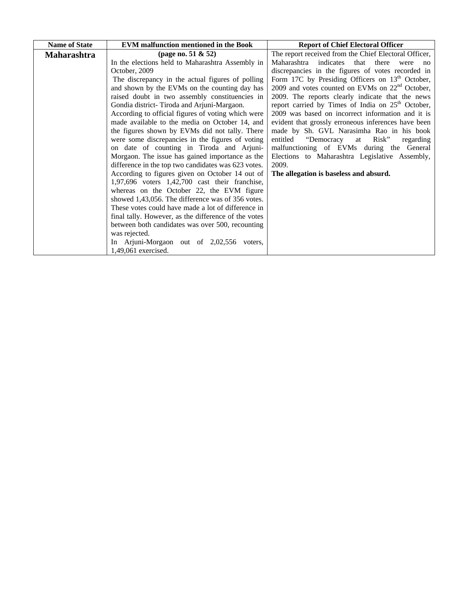| <b>Name of State</b> | <b>EVM</b> malfunction mentioned in the Book         | <b>Report of Chief Electoral Officer</b>                      |
|----------------------|------------------------------------------------------|---------------------------------------------------------------|
| <b>Maharashtra</b>   | (page no. 51 $& 52)$ )                               | The report received from the Chief Electoral Officer,         |
|                      | In the elections held to Maharashtra Assembly in     | Maharashtra indicates<br>that there<br>were<br>no             |
|                      | October, 2009                                        | discrepancies in the figures of votes recorded in             |
|                      | The discrepancy in the actual figures of polling     | Form 17C by Presiding Officers on $13th$ October,             |
|                      | and shown by the EVMs on the counting day has        | 2009 and votes counted on EVMs on $22nd$ October,             |
|                      | raised doubt in two assembly constituencies in       | 2009. The reports clearly indicate that the news              |
|                      | Gondia district-Tiroda and Arjuni-Margaon.           | report carried by Times of India on 25 <sup>th</sup> October, |
|                      | According to official figures of voting which were   | 2009 was based on incorrect information and it is             |
|                      | made available to the media on October 14, and       | evident that grossly erroneous inferences have been           |
|                      | the figures shown by EVMs did not tally. There       | made by Sh. GVL Narasimha Rao in his book                     |
|                      | were some discrepancies in the figures of voting     | "Democracy<br>entitled<br>Risk"<br>at<br>regarding            |
|                      | on date of counting in Tiroda and Arjuni-            | malfunctioning of EVMs during the General                     |
|                      | Morgaon. The issue has gained importance as the      | Elections to Maharashtra Legislative Assembly,                |
|                      | difference in the top two candidates was 623 votes.  | 2009.                                                         |
|                      | According to figures given on October 14 out of      | The allegation is baseless and absurd.                        |
|                      | 1,97,696 voters 1,42,700 cast their franchise,       |                                                               |
|                      | whereas on the October 22, the EVM figure            |                                                               |
|                      | showed 1,43,056. The difference was of 356 votes.    |                                                               |
|                      | These votes could have made a lot of difference in   |                                                               |
|                      | final tally. However, as the difference of the votes |                                                               |
|                      | between both candidates was over 500, recounting     |                                                               |
|                      | was rejected.                                        |                                                               |
|                      | In Arjuni-Morgaon out of 2,02,556 voters,            |                                                               |
|                      | 1,49,061 exercised.                                  |                                                               |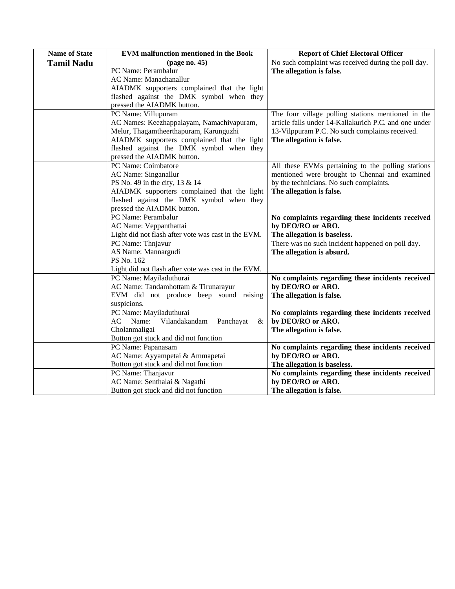| <b>Name of State</b> | <b>EVM</b> malfunction mentioned in the Book        | <b>Report of Chief Electoral Officer</b>              |
|----------------------|-----------------------------------------------------|-------------------------------------------------------|
| <b>Tamil Nadu</b>    | (page no. 45)                                       | No such complaint was received during the poll day.   |
|                      | PC Name: Perambalur                                 | The allegation is false.                              |
|                      | AC Name: Manachanallur                              |                                                       |
|                      | AIADMK supporters complained that the light         |                                                       |
|                      | flashed against the DMK symbol when they            |                                                       |
|                      | pressed the AIADMK button.                          |                                                       |
|                      | PC Name: Villupuram                                 | The four village polling stations mentioned in the    |
|                      | AC Names: Keezhappalayam, Namachivapuram,           | article falls under 14-Kallakurich P.C. and one under |
|                      | Melur, Thagamtheerthapuram, Karunguzhi              | 13-Vilppuram P.C. No such complaints received.        |
|                      | AIADMK supporters complained that the light         | The allegation is false.                              |
|                      | flashed against the DMK symbol when they            |                                                       |
|                      | pressed the AIADMK button.                          |                                                       |
|                      | PC Name: Coimbatore                                 | All these EVMs pertaining to the polling stations     |
|                      | AC Name: Singanallur                                | mentioned were brought to Chennai and examined        |
|                      | PS No. 49 in the city, 13 & 14                      | by the technicians. No such complaints.               |
|                      | AIADMK supporters complained that the light         | The allegation is false.                              |
|                      | flashed against the DMK symbol when they            |                                                       |
|                      | pressed the AIADMK button.                          |                                                       |
|                      | PC Name: Perambalur                                 | No complaints regarding these incidents received      |
|                      | AC Name: Veppanthattai                              | by DEO/RO or ARO.                                     |
|                      | Light did not flash after vote was cast in the EVM. | The allegation is baseless.                           |
|                      | PC Name: Thnjavur                                   | There was no such incident happened on poll day.      |
|                      | AS Name: Mannargudi                                 | The allegation is absurd.                             |
|                      | PS No. 162                                          |                                                       |
|                      | Light did not flash after vote was cast in the EVM. |                                                       |
|                      | PC Name: Mayiladuthurai                             | No complaints regarding these incidents received      |
|                      | AC Name: Tandamhottam & Tirunarayur                 | by DEO/RO or ARO.                                     |
|                      | EVM did not produce beep sound raising              | The allegation is false.                              |
|                      | suspicions.                                         |                                                       |
|                      | PC Name: Mayiladuthurai                             | No complaints regarding these incidents received      |
|                      | Vilandakandam<br>AC Name:<br>Panchayat<br>&         | by DEO/RO or ARO.                                     |
|                      | Cholanmaligai                                       | The allegation is false.                              |
|                      | Button got stuck and did not function               |                                                       |
|                      | PC Name: Papanasam                                  | No complaints regarding these incidents received      |
|                      | AC Name: Ayyampetai & Ammapetai                     | by DEO/RO or ARO.                                     |
|                      | Button got stuck and did not function               | The allegation is baseless.                           |
|                      | PC Name: Thanjavur                                  | No complaints regarding these incidents received      |
|                      | AC Name: Senthalai & Nagathi                        | by DEO/RO or ARO.                                     |
|                      | Button got stuck and did not function               | The allegation is false.                              |